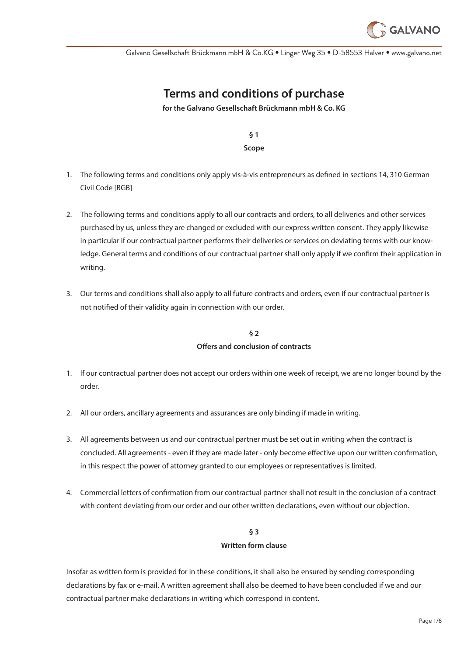

Galvano Gesellschaft Brückmann mbH & Co.KG • Linger Weg 35 • D-58553 Halver • www.galvano.net

# **Terms and conditions of purchase**

**for the Galvano Gesellschaft Brückmann mbH & Co. KG**

**§ 1**

**Scope**

- 1. The following terms and conditions only apply vis-à-vis entrepreneurs as defined in sections 14, 310 German Civil Code [BGB]
- 2. The following terms and conditions apply to all our contracts and orders, to all deliveries and other services purchased by us, unless they are changed or excluded with our express written consent. They apply likewise in particular if our contractual partner performs their deliveries or services on deviating terms with our knowledge. General terms and conditions of our contractual partner shall only apply if we confirm their application in writing.
- 3. Our terms and conditions shall also apply to all future contracts and orders, even if our contractual partner is not notified of their validity again in connection with our order.

# **§ 2 Offers and conclusion of contracts**

- 1. If our contractual partner does not accept our orders within one week of receipt, we are no longer bound by the order.
- 2. All our orders, ancillary agreements and assurances are only binding if made in writing.
- 3. All agreements between us and our contractual partner must be set out in writing when the contract is concluded. All agreements - even if they are made later - only become effective upon our written confirmation, in this respect the power of attorney granted to our employees or representatives is limited.
- 4. Commercial letters of confirmation from our contractual partner shall not result in the conclusion of a contract with content deviating from our order and our other written declarations, even without our objection.

# **§ 3**

# **Written form clause**

Insofar as written form is provided for in these conditions, it shall also be ensured by sending corresponding declarations by fax or e-mail. A written agreement shall also be deemed to have been concluded if we and our contractual partner make declarations in writing which correspond in content.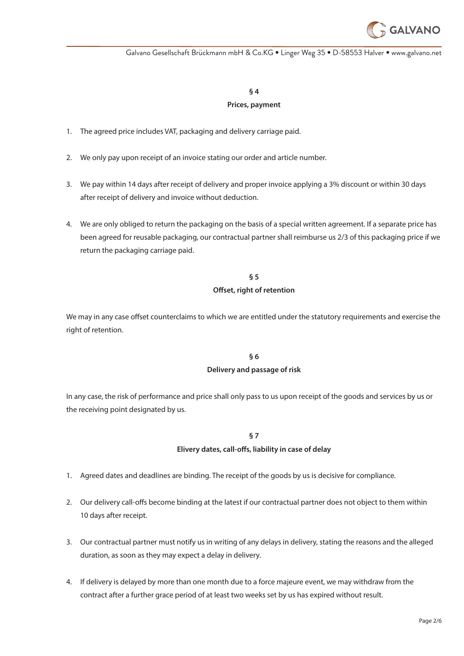

Galvano Gesellschaft Brückmann mbH & Co.KG • Linger Weg 35 • D-58553 Halver • www.galvano.net

### **§ 4**

#### **Prices, payment**

- 1. The agreed price includes VAT, packaging and delivery carriage paid.
- 2. We only pay upon receipt of an invoice stating our order and article number.
- 3. We pay within 14 days after receipt of delivery and proper invoice applying a 3% discount or within 30 days after receipt of delivery and invoice without deduction.
- 4. We are only obliged to return the packaging on the basis of a special written agreement. If a separate price has been agreed for reusable packaging, our contractual partner shall reimburse us 2/3 of this packaging price if we return the packaging carriage paid.

# **§ 5 Offset, right of retention**

We may in any case offset counterclaims to which we are entitled under the statutory requirements and exercise the right of retention.

# **§ 6**

### **Delivery and passage of risk**

In any case, the risk of performance and price shall only pass to us upon receipt of the goods and services by us or the receiving point designated by us.

# **§ 7**

### **Elivery dates, call-offs, liability in case of delay**

- 1. Agreed dates and deadlines are binding. The receipt of the goods by us is decisive for compliance.
- 2. Our delivery call-offs become binding at the latest if our contractual partner does not object to them within 10 days after receipt.
- 3. Our contractual partner must notify us in writing of any delays in delivery, stating the reasons and the alleged duration, as soon as they may expect a delay in delivery.
- 4. If delivery is delayed by more than one month due to a force majeure event, we may withdraw from the contract after a further grace period of at least two weeks set by us has expired without result.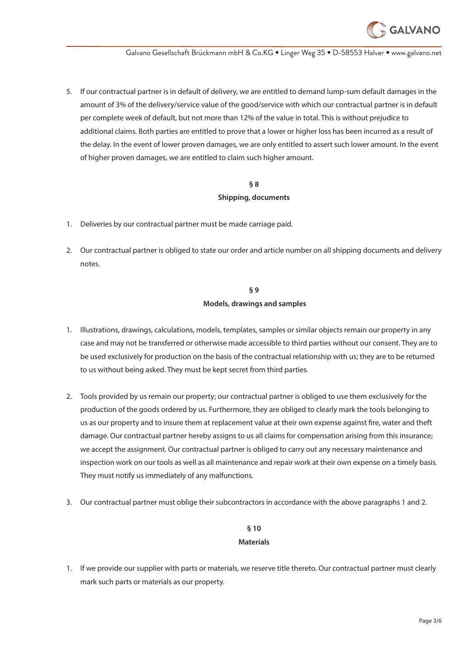

5. If our contractual partner is in default of delivery, we are entitled to demand lump-sum default damages in the amount of 3% of the delivery/service value of the good/service with which our contractual partner is in default per complete week of default, but not more than 12% of the value in total. This is without prejudice to additional claims. Both parties are entitled to prove that a lower or higher loss has been incurred as a result of the delay. In the event of lower proven damages, we are only entitled to assert such lower amount. In the event of higher proven damages, we are entitled to claim such higher amount.

### **§ 8**

#### **Shipping, documents**

- 1. Deliveries by our contractual partner must be made carriage paid.
- 2. Our contractual partner is obliged to state our order and article number on all shipping documents and delivery notes.

# **§ 9 Models, drawings and samples**

- 1. Illustrations, drawings, calculations, models, templates, samples or similar objects remain our property in any case and may not be transferred or otherwise made accessible to third parties without our consent. They are to be used exclusively for production on the basis of the contractual relationship with us; they are to be returned to us without being asked. They must be kept secret from third parties.
- 2. Tools provided by us remain our property; our contractual partner is obliged to use them exclusively for the production of the goods ordered by us. Furthermore, they are obliged to clearly mark the tools belonging to us as our property and to insure them at replacement value at their own expense against fire, water and theft damage. Our contractual partner hereby assigns to us all claims for compensation arising from this insurance; we accept the assignment. Our contractual partner is obliged to carry out any necessary maintenance and inspection work on our tools as well as all maintenance and repair work at their own expense on a timely basis. They must notify us immediately of any malfunctions.
- 3. Our contractual partner must oblige their subcontractors in accordance with the above paragraphs 1 and 2.

### **§ 10 Materials**

1. If we provide our supplier with parts or materials, we reserve title thereto. Our contractual partner must clearly mark such parts or materials as our property.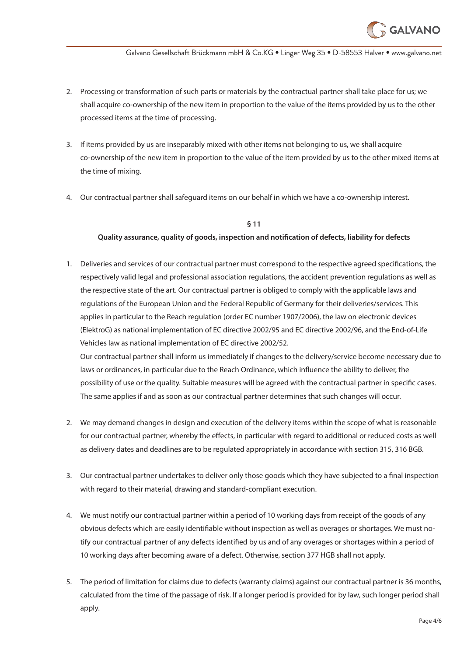

- 2. Processing or transformation of such parts or materials by the contractual partner shall take place for us; we shall acquire co-ownership of the new item in proportion to the value of the items provided by us to the other processed items at the time of processing.
- 3. If items provided by us are inseparably mixed with other items not belonging to us, we shall acquire co-ownership of the new item in proportion to the value of the item provided by us to the other mixed items at the time of mixing.
- 4. Our contractual partner shall safeguard items on our behalf in which we have a co-ownership interest.

#### **§ 11**

#### **Quality assurance, quality of goods, inspection and notification of defects, liability for defects**

1. Deliveries and services of our contractual partner must correspond to the respective agreed specifications, the respectively valid legal and professional association regulations, the accident prevention regulations as well as the respective state of the art. Our contractual partner is obliged to comply with the applicable laws and regulations of the European Union and the Federal Republic of Germany for their deliveries/services. This applies in particular to the Reach regulation (order EC number 1907/2006), the law on electronic devices (ElektroG) as national implementation of EC directive 2002/95 and EC directive 2002/96, and the End-of-Life Vehicles law as national implementation of EC directive 2002/52.

Our contractual partner shall inform us immediately if changes to the delivery/service become necessary due to laws or ordinances, in particular due to the Reach Ordinance, which influence the ability to deliver, the possibility of use or the quality. Suitable measures will be agreed with the contractual partner in specific cases. The same applies if and as soon as our contractual partner determines that such changes will occur.

- 2. We may demand changes in design and execution of the delivery items within the scope of what is reasonable for our contractual partner, whereby the effects, in particular with regard to additional or reduced costs as well as delivery dates and deadlines are to be regulated appropriately in accordance with section 315, 316 BGB.
- 3. Our contractual partner undertakes to deliver only those goods which they have subjected to a final inspection with regard to their material, drawing and standard-compliant execution.
- 4. We must notify our contractual partner within a period of 10 working days from receipt of the goods of any obvious defects which are easily identifiable without inspection as well as overages or shortages. We must notify our contractual partner of any defects identified by us and of any overages or shortages within a period of 10 working days after becoming aware of a defect. Otherwise, section 377 HGB shall not apply.
- 5. The period of limitation for claims due to defects (warranty claims) against our contractual partner is 36 months, calculated from the time of the passage of risk. If a longer period is provided for by law, such longer period shall apply.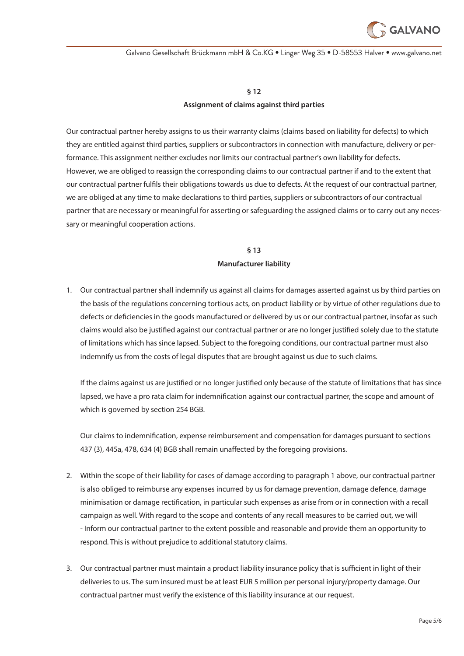

Galvano Gesellschaft Brückmann mbH & Co.KG • Linger Weg 35 • D-58553 Halver • www.galvano.net

# **§ 12**

#### **Assignment of claims against third parties**

Our contractual partner hereby assigns to us their warranty claims (claims based on liability for defects) to which they are entitled against third parties, suppliers or subcontractors in connection with manufacture, delivery or performance. This assignment neither excludes nor limits our contractual partner's own liability for defects. However, we are obliged to reassign the corresponding claims to our contractual partner if and to the extent that our contractual partner fulfils their obligations towards us due to defects. At the request of our contractual partner, we are obliged at any time to make declarations to third parties, suppliers or subcontractors of our contractual partner that are necessary or meaningful for asserting or safeguarding the assigned claims or to carry out any necessary or meaningful cooperation actions.

# **§ 13 Manufacturer liability**

1. Our contractual partner shall indemnify us against all claims for damages asserted against us by third parties on the basis of the regulations concerning tortious acts, on product liability or by virtue of other regulations due to defects or deficiencies in the goods manufactured or delivered by us or our contractual partner, insofar as such claims would also be justified against our contractual partner or are no longer justified solely due to the statute of limitations which has since lapsed. Subject to the foregoing conditions, our contractual partner must also indemnify us from the costs of legal disputes that are brought against us due to such claims.

If the claims against us are justified or no longer justified only because of the statute of limitations that has since lapsed, we have a pro rata claim for indemnification against our contractual partner, the scope and amount of which is governed by section 254 BGB.

Our claims to indemnification, expense reimbursement and compensation for damages pursuant to sections 437 (3), 445a, 478, 634 (4) BGB shall remain unaffected by the foregoing provisions.

- 2. Within the scope of their liability for cases of damage according to paragraph 1 above, our contractual partner is also obliged to reimburse any expenses incurred by us for damage prevention, damage defence, damage minimisation or damage rectification, in particular such expenses as arise from or in connection with a recall campaign as well. With regard to the scope and contents of any recall measures to be carried out, we will - Inform our contractual partner to the extent possible and reasonable and provide them an opportunity to respond. This is without prejudice to additional statutory claims.
- 3. Our contractual partner must maintain a product liability insurance policy that is sufficient in light of their deliveries to us. The sum insured must be at least EUR 5 million per personal injury/property damage. Our contractual partner must verify the existence of this liability insurance at our request.